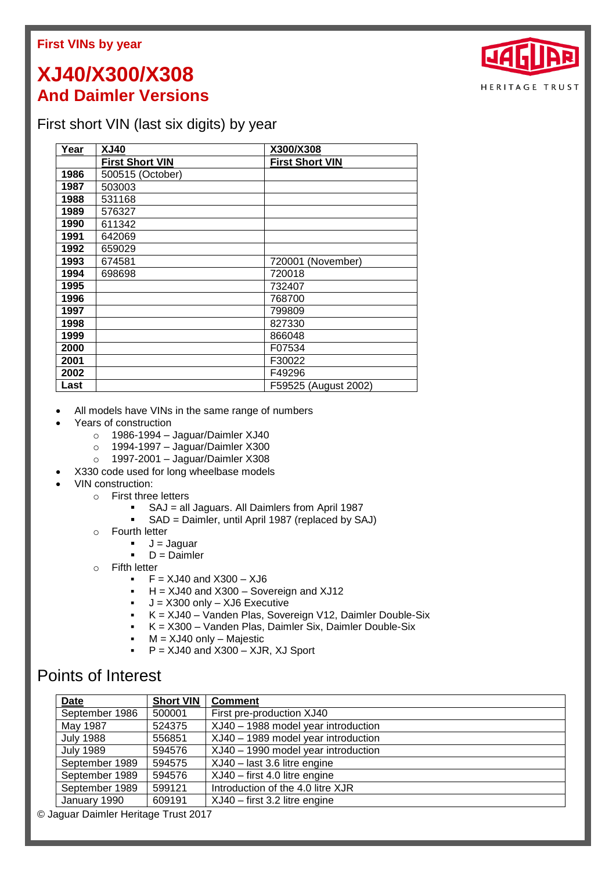## **First VINs by year**

## **XJ40/X300/X308 And Daimler Versions**

## First short VIN (last six digits) by year

| Year | <b>XJ40</b>            | X300/X308              |
|------|------------------------|------------------------|
|      | <b>First Short VIN</b> | <b>First Short VIN</b> |
| 1986 | 500515 (October)       |                        |
| 1987 | 503003                 |                        |
| 1988 | 531168                 |                        |
| 1989 | 576327                 |                        |
| 1990 | 611342                 |                        |
| 1991 | 642069                 |                        |
| 1992 | 659029                 |                        |
| 1993 | 674581                 | 720001 (November)      |
| 1994 | 698698                 | 720018                 |
| 1995 |                        | 732407                 |
| 1996 |                        | 768700                 |
| 1997 |                        | 799809                 |
| 1998 |                        | 827330                 |
| 1999 |                        | 866048                 |
| 2000 |                        | F07534                 |
| 2001 |                        | F30022                 |
| 2002 |                        | F49296                 |
| Last |                        | F59525 (August 2002)   |

- All models have VINs in the same range of numbers
- Years of construction
	- o 1986-1994 Jaguar/Daimler XJ40
	- o 1994-1997 Jaguar/Daimler X300
	- o 1997-2001 Jaguar/Daimler X308
- X330 code used for long wheelbase models
- VIN construction:
	- o First three letters
		- SAJ = all Jaguars. All Daimlers from April 1987
		- SAD = Daimler, until April 1987 (replaced by SAJ)
	- o Fourth letter
		- $J =$  Jaguar
		- $D = D$ aimler
	- o Fifth letter
		- $\blacktriangleright$  F = XJ40 and X300 XJ6
		- $H = XJ40$  and  $X300 -$  Sovereign and  $XJ12$
		- J =  $X300$  only  $XJ6$  Executive<br>K =  $X.I40 V20$
		- K = XJ40 Vanden Plas, Sovereign V12, Daimler Double-Six
		- K = X300 Vanden Plas, Daimler Six, Daimler Double-Six
		- M = XJ40 only Majestic
		- $P = XJ40$  and  $X300 XJR$ , XJ Sport

## Points of Interest

| <b>Date</b>      | <b>Short VIN</b> | <b>Comment</b>                      |
|------------------|------------------|-------------------------------------|
| September 1986   | 500001           | First pre-production XJ40           |
| May 1987         | 524375           | XJ40 - 1988 model year introduction |
| <b>July 1988</b> | 556851           | XJ40 - 1989 model year introduction |
| <b>July 1989</b> | 594576           | XJ40 - 1990 model year introduction |
| September 1989   | 594575           | XJ40 - last 3.6 litre engine        |
| September 1989   | 594576           | XJ40 - first 4.0 litre engine       |
| September 1989   | 599121           | Introduction of the 4.0 litre XJR   |
| January 1990     | 609191           | XJ40 - first 3.2 litre engine       |

© Jaguar Daimler Heritage Trust 2017